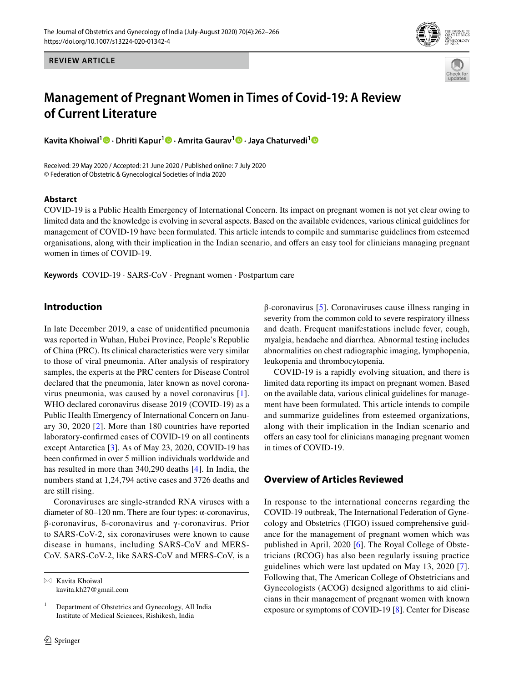

**REVIEW ARTICLE**

# **Management of Pregnant Women in Times of Covid‑19: A Review of Current Literature**

**Kavita Khoiwal1  [·](http://orcid.org/0000-0002-3156-7486) Dhriti Kapur[1](http://orcid.org/0000-0002-7210-0188) · Amrita Gaurav1 · Jaya Chaturvedi[1](http://orcid.org/0000-0003-1222-4565)**

Received: 29 May 2020 / Accepted: 21 June 2020 / Published online: 7 July 2020 © Federation of Obstetric & Gynecological Societies of India 2020

## **Abstarct**

COVID-19 is a Public Health Emergency of International Concern. Its impact on pregnant women is not yet clear owing to limited data and the knowledge is evolving in several aspects. Based on the available evidences, various clinical guidelines for management of COVID-19 have been formulated. This article intends to compile and summarise guidelines from esteemed organisations, along with their implication in the Indian scenario, and ofers an easy tool for clinicians managing pregnant women in times of COVID-19.

**Keywords** COVID-19 · SARS-CoV · Pregnant women · Postpartum care

# **Introduction**

In late December 2019, a case of unidentifed pneumonia was reported in Wuhan, Hubei Province, People's Republic of China (PRC). Its clinical characteristics were very similar to those of viral pneumonia. After analysis of respiratory samples, the experts at the PRC centers for Disease Control declared that the pneumonia, later known as novel coronavirus pneumonia, was caused by a novel coronavirus [[1](#page-3-0)]. WHO declared coronavirus disease 2019 (COVID-19) as a Public Health Emergency of International Concern on January 30, 2020 [[2](#page-3-1)]. More than 180 countries have reported laboratory-confrmed cases of COVID-19 on all continents except Antarctica [[3\]](#page-3-2). As of May 23, 2020, COVID-19 has been confrmed in over 5 million individuals worldwide and has resulted in more than 340,290 deaths [\[4](#page-3-3)]. In India, the numbers stand at 1,24,794 active cases and 3726 deaths and are still rising.

Coronaviruses are single-stranded RNA viruses with a diameter of 80–120 nm. There are four types: α-coronavirus, β-coronavirus, δ-coronavirus and γ-coronavirus. Prior to SARS-CoV-2, six coronaviruses were known to cause disease in humans, including SARS-CoV and MERS-CoV. SARS-CoV-2, like SARS-CoV and MERS-CoV, is a β-coronavirus [[5\]](#page-3-4). Coronaviruses cause illness ranging in severity from the common cold to severe respiratory illness and death. Frequent manifestations include fever, cough, myalgia, headache and diarrhea. Abnormal testing includes abnormalities on chest radiographic imaging, lymphopenia, leukopenia and thrombocytopenia.

COVID-19 is a rapidly evolving situation, and there is limited data reporting its impact on pregnant women. Based on the available data, various clinical guidelines for management have been formulated. This article intends to compile and summarize guidelines from esteemed organizations, along with their implication in the Indian scenario and offers an easy tool for clinicians managing pregnant women in times of COVID-19.

# **Overview of Articles Reviewed**

In response to the international concerns regarding the COVID-19 outbreak, The International Federation of Gynecology and Obstetrics (FIGO) issued comprehensive guidance for the management of pregnant women which was published in April, 2020 [[6\]](#page-3-5). The Royal College of Obstetricians (RCOG) has also been regularly issuing practice guidelines which were last updated on May 13, 2020 [[7](#page-4-0)]. Following that, The American College of Obstetricians and Gynecologists (ACOG) designed algorithms to aid clinicians in their management of pregnant women with known exposure or symptoms of COVID-19 [\[8](#page-4-1)]. Center for Disease

 $\boxtimes$  Kavita Khoiwal kavita.kh27@gmail.com

 $1$  Department of Obstetrics and Gynecology, All India Institute of Medical Sciences, Rishikesh, India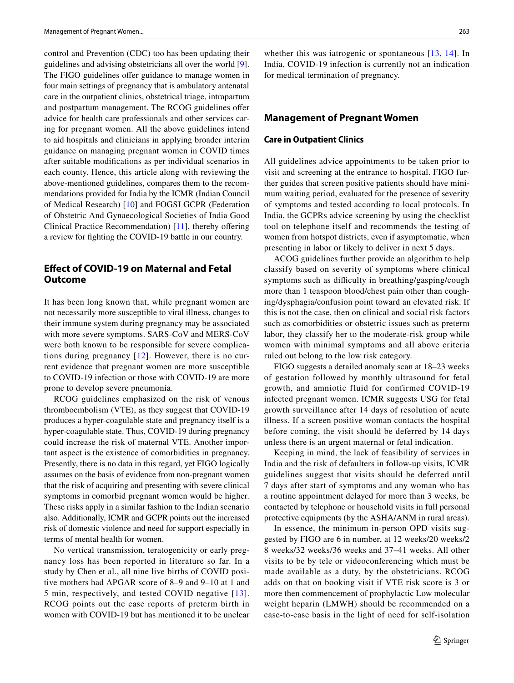control and Prevention (CDC) too has been updating their guidelines and advising obstetricians all over the world [\[9](#page-4-2)]. The FIGO guidelines offer guidance to manage women in four main settings of pregnancy that is ambulatory antenatal care in the outpatient clinics, obstetrical triage, intrapartum and postpartum management. The RCOG guidelines offer advice for health care professionals and other services caring for pregnant women. All the above guidelines intend to aid hospitals and clinicians in applying broader interim guidance on managing pregnant women in COVID times after suitable modifcations as per individual scenarios in each county. Hence, this article along with reviewing the above-mentioned guidelines, compares them to the recommendations provided for India by the ICMR (Indian Council of Medical Research) [[10](#page-4-3)] and FOGSI GCPR (Federation of Obstetric And Gynaecological Societies of India Good Clinical Practice Recommendation) [[11](#page-4-4)], thereby ofering a review for fghting the COVID-19 battle in our country.

# **Efect of COVID‑19 on Maternal and Fetal Outcome**

It has been long known that, while pregnant women are not necessarily more susceptible to viral illness, changes to their immune system during pregnancy may be associated with more severe symptoms. SARS-CoV and MERS-CoV were both known to be responsible for severe complications during pregnancy [\[12](#page-4-5)]. However, there is no current evidence that pregnant women are more susceptible to COVID-19 infection or those with COVID-19 are more prone to develop severe pneumonia.

RCOG guidelines emphasized on the risk of venous thromboembolism (VTE), as they suggest that COVID-19 produces a hyper-coagulable state and pregnancy itself is a hyper-coagulable state. Thus, COVID-19 during pregnancy could increase the risk of maternal VTE. Another important aspect is the existence of comorbidities in pregnancy. Presently, there is no data in this regard, yet FIGO logically assumes on the basis of evidence from non-pregnant women that the risk of acquiring and presenting with severe clinical symptoms in comorbid pregnant women would be higher. These risks apply in a similar fashion to the Indian scenario also. Additionally, ICMR and GCPR points out the increased risk of domestic violence and need for support especially in terms of mental health for women.

No vertical transmission, teratogenicity or early pregnancy loss has been reported in literature so far. In a study by Chen et al., all nine live births of COVID positive mothers had APGAR score of 8–9 and 9–10 at 1 and 5 min, respectively, and tested COVID negative [[13\]](#page-4-6). RCOG points out the case reports of preterm birth in women with COVID-19 but has mentioned it to be unclear

whether this was iatrogenic or spontaneous [[13,](#page-4-6) [14](#page-4-7)]. In India, COVID-19 infection is currently not an indication for medical termination of pregnancy.

#### **Management of Pregnant Women**

#### **Care in Outpatient Clinics**

All guidelines advice appointments to be taken prior to visit and screening at the entrance to hospital. FIGO further guides that screen positive patients should have minimum waiting period, evaluated for the presence of severity of symptoms and tested according to local protocols. In India, the GCPRs advice screening by using the checklist tool on telephone itself and recommends the testing of women from hotspot districts, even if asymptomatic, when presenting in labor or likely to deliver in next 5 days.

ACOG guidelines further provide an algorithm to help classify based on severity of symptoms where clinical symptoms such as difficulty in breathing/gasping/cough more than 1 teaspoon blood/chest pain other than coughing/dysphagia/confusion point toward an elevated risk. If this is not the case, then on clinical and social risk factors such as comorbidities or obstetric issues such as preterm labor, they classify her to the moderate-risk group while women with minimal symptoms and all above criteria ruled out belong to the low risk category.

FIGO suggests a detailed anomaly scan at 18–23 weeks of gestation followed by monthly ultrasound for fetal growth, and amniotic fluid for confirmed COVID-19 infected pregnant women. ICMR suggests USG for fetal growth surveillance after 14 days of resolution of acute illness. If a screen positive woman contacts the hospital before coming, the visit should be deferred by 14 days unless there is an urgent maternal or fetal indication.

Keeping in mind, the lack of feasibility of services in India and the risk of defaulters in follow-up visits, ICMR guidelines suggest that visits should be deferred until 7 days after start of symptoms and any woman who has a routine appointment delayed for more than 3 weeks, be contacted by telephone or household visits in full personal protective equipments (by the ASHA/ANM in rural areas).

In essence, the minimum in-person OPD visits suggested by FIGO are 6 in number, at 12 weeks/20 weeks/2 8 weeks/32 weeks/36 weeks and 37–41 weeks. All other visits to be by tele or videoconferencing which must be made available as a duty, by the obstetricians. RCOG adds on that on booking visit if VTE risk score is 3 or more then commencement of prophylactic Low molecular weight heparin (LMWH) should be recommended on a case-to-case basis in the light of need for self-isolation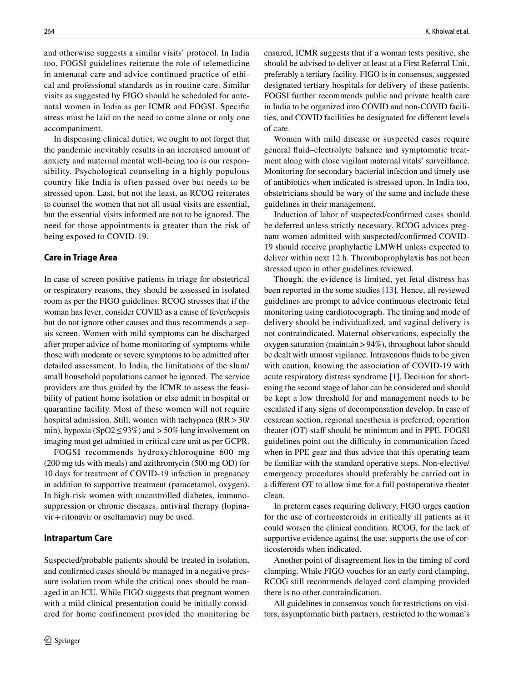and otherwise suggests a similar visits' protocol. In India too, FOGSI guidelines reiterate the role of telemedicine in antenatal care and advice continued practice of ethical and professional standards as in routine care. Similar visits as suggested by FIGO should be scheduled for antenatal women in India as per ICMR and FOGSI. Specifc stress must be laid on the need to come alone or only one accompaniment.

In dispensing clinical duties, we ought to not forget that the pandemic inevitably results in an increased amount of anxiety and maternal mental well-being too is our responsibility. Psychological counseling in a highly populous country like India is often passed over but needs to be stressed upon. Last, but not the least, as RCOG reiterates to counsel the women that not all usual visits are essential, but the essential visits informed are not to be ignored. The need for those appointments is greater than the risk of being exposed to COVID-19.

#### **Care in Triage Area**

In case of screen positive patients in triage for obstetrical or respiratory reasons, they should be assessed in isolated room as per the FIGO guidelines. RCOG stresses that if the woman has fever, consider COVID as a cause of fever/sepsis but do not ignore other causes and thus recommends a sepsis screen. Women with mild symptoms can be discharged after proper advice of home monitoring of symptoms while those with moderate or severe symptoms to be admitted after detailed assessment. In India, the limitations of the slum/ small household populations cannot be ignored. The service providers are thus guided by the ICMR to assess the feasibility of patient home isolation or else admit in hospital or quarantine facility. Most of these women will not require hospital admission. Still, women with tachypnea (RR > 30/ min), hypoxia (SpO2  $\leq$  93%) and  $>$  50% lung involvement on imaging must get admitted in critical care unit as per GCPR.

FOGSI recommends hydroxychloroquine 600 mg (200 mg tds with meals) and azithromycin (500 mg OD) for 10 days for treatment of COVID-19 infection in pregnancy in addition to supportive treatment (paracetamol, oxygen). In high-risk women with uncontrolled diabetes, immunosuppression or chronic diseases, antiviral therapy (lopinavir+ritonavir or oseltamavir) may be used.

#### **Intrapartum Care**

Suspected/probable patients should be treated in isolation, and confrmed cases should be managed in a negative pressure isolation room while the critical ones should be managed in an ICU. While FIGO suggests that pregnant women with a mild clinical presentation could be initially considered for home confinement provided the monitoring be ensured, ICMR suggests that if a woman tests positive, she should be advised to deliver at least at a First Referral Unit, preferably a tertiary facility. FIGO is in consensus, suggested designated tertiary hospitals for delivery of these patients. FOGSI further recommends public and private health care in India to be organized into COVID and non-COVID facilities, and COVID facilities be designated for diferent levels of care.

Women with mild disease or suspected cases require general fuid–electrolyte balance and symptomatic treatment along with close vigilant maternal vitals' surveillance. Monitoring for secondary bacterial infection and timely use of antibiotics when indicated is stressed upon. In India too, obstetricians should be wary of the same and include these guidelines in their management.

Induction of labor of suspected/confrmed cases should be deferred unless strictly necessary. RCOG advices pregnant women admitted with suspected/confrmed COVID-19 should receive prophylactic LMWH unless expected to deliver within next 12 h. Thromboprophylaxis has not been stressed upon in other guidelines reviewed.

Though, the evidence is limited, yet fetal distress has been reported in the some studies [\[13](#page-4-6)]. Hence, all reviewed guidelines are prompt to advice continuous electronic fetal monitoring using cardiotocograph. The timing and mode of delivery should be individualized, and vaginal delivery is not contraindicated. Maternal observations, especially the oxygen saturation (maintain>94%), throughout labor should be dealt with utmost vigilance. Intravenous fuids to be given with caution, knowing the association of COVID-19 with acute respiratory distress syndrome [[1\]](#page-3-0). Decision for shortening the second stage of labor can be considered and should be kept a low threshold for and management needs to be escalated if any signs of decompensation develop. In case of cesarean section, regional anesthesia is preferred, operation theater (OT) staff should be minimum and in PPE. FOGSI guidelines point out the difficulty in communication faced when in PPE gear and thus advice that this operating team be familiar with the standard operative steps. Non-elective/ emergency procedures should preferably be carried out in a diferent OT to allow time for a full postoperative theater clean.

In preterm cases requiring delivery, FIGO urges caution for the use of corticosteroids in critically ill patients as it could worsen the clinical condition. RCOG, for the lack of supportive evidence against the use, supports the use of corticosteroids when indicated.

Another point of disagreement lies in the timing of cord clamping. While FIGO vouches for an early cord clamping, RCOG still recommends delayed cord clamping provided there is no other contraindication.

All guidelines in consensus vouch for restrictions on visitors, asymptomatic birth partners, restricted to the woman's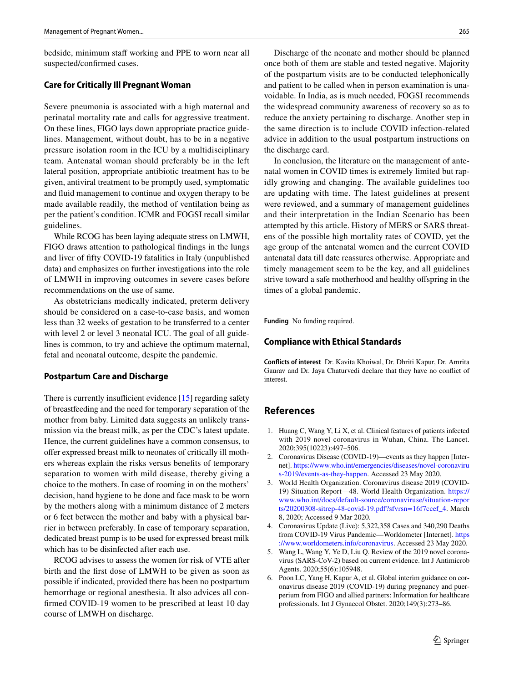bedside, minimum staff working and PPE to worn near all suspected/confrmed cases.

### **Care for Critically Ill Pregnant Woman**

Severe pneumonia is associated with a high maternal and perinatal mortality rate and calls for aggressive treatment. On these lines, FIGO lays down appropriate practice guidelines. Management, without doubt, has to be in a negative pressure isolation room in the ICU by a multidisciplinary team. Antenatal woman should preferably be in the left lateral position, appropriate antibiotic treatment has to be given, antiviral treatment to be promptly used, symptomatic and fuid management to continue and oxygen therapy to be made available readily, the method of ventilation being as per the patient's condition. ICMR and FOGSI recall similar guidelines.

While RCOG has been laying adequate stress on LMWH, FIGO draws attention to pathological fndings in the lungs and liver of ffty COVID-19 fatalities in Italy (unpublished data) and emphasizes on further investigations into the role of LMWH in improving outcomes in severe cases before recommendations on the use of same.

As obstetricians medically indicated, preterm delivery should be considered on a case-to-case basis, and women less than 32 weeks of gestation to be transferred to a center with level 2 or level 3 neonatal ICU. The goal of all guidelines is common, to try and achieve the optimum maternal, fetal and neonatal outcome, despite the pandemic.

#### **Postpartum Care and Discharge**

There is currently insufficient evidence  $[15]$  $[15]$  regarding safety of breastfeeding and the need for temporary separation of the mother from baby. Limited data suggests an unlikely transmission via the breast milk, as per the CDC's latest update. Hence, the current guidelines have a common consensus, to ofer expressed breast milk to neonates of critically ill mothers whereas explain the risks versus benefts of temporary separation to women with mild disease, thereby giving a choice to the mothers. In case of rooming in on the mothers' decision, hand hygiene to be done and face mask to be worn by the mothers along with a minimum distance of 2 meters or 6 feet between the mother and baby with a physical barrier in between preferably. In case of temporary separation, dedicated breast pump is to be used for expressed breast milk which has to be disinfected after each use.

RCOG advises to assess the women for risk of VTE after birth and the frst dose of LMWH to be given as soon as possible if indicated, provided there has been no postpartum hemorrhage or regional anesthesia. It also advices all confrmed COVID-19 women to be prescribed at least 10 day course of LMWH on discharge.

Discharge of the neonate and mother should be planned once both of them are stable and tested negative. Majority of the postpartum visits are to be conducted telephonically and patient to be called when in person examination is unavoidable. In India, as is much needed, FOGSI recommends the widespread community awareness of recovery so as to reduce the anxiety pertaining to discharge. Another step in the same direction is to include COVID infection-related advice in addition to the usual postpartum instructions on the discharge card.

In conclusion, the literature on the management of antenatal women in COVID times is extremely limited but rapidly growing and changing. The available guidelines too are updating with time. The latest guidelines at present were reviewed, and a summary of management guidelines and their interpretation in the Indian Scenario has been attempted by this article. History of MERS or SARS threatens of the possible high mortality rates of COVID, yet the age group of the antenatal women and the current COVID antenatal data till date reassures otherwise. Appropriate and timely management seem to be the key, and all guidelines strive toward a safe motherhood and healthy offspring in the times of a global pandemic.

**Funding** No funding required.

#### **Compliance with Ethical Standards**

**Conflicts of interest** Dr. Kavita Khoiwal, Dr. Dhriti Kapur, Dr. Amrita Gaurav and Dr. Jaya Chaturvedi declare that they have no confict of interest.

### **References**

- <span id="page-3-0"></span>1. Huang C, Wang Y, Li X, et al. Clinical features of patients infected with 2019 novel coronavirus in Wuhan, China. The Lancet. 2020;395(10223):497–506.
- <span id="page-3-1"></span>2. Coronavirus Disease (COVID-19)—events as they happen [Internet]. [https://www.who.int/emergencies/diseases/novel-coronaviru](https://www.who.int/emergencies/diseases/novel-coronavirus-2019/events-as-they-happen) [s-2019/events-as-they-happen.](https://www.who.int/emergencies/diseases/novel-coronavirus-2019/events-as-they-happen) Accessed 23 May 2020.
- <span id="page-3-2"></span>3. World Health Organization. Coronavirus disease 2019 (COVID-19) Situation Report—48. World Health Organization. [https://](https://www.who.int/docs/default-source/coronaviruse/situation-reports/20200308-sitrep-48-covid-19.pdf%3fsfvrsn%3d16f7ccef_4) [www.who.int/docs/default-source/coronaviruse/situation-repor](https://www.who.int/docs/default-source/coronaviruse/situation-reports/20200308-sitrep-48-covid-19.pdf%3fsfvrsn%3d16f7ccef_4) [ts/20200308-sitrep-48-covid-19.pdf?sfvrsn=16f7ccef\\_4](https://www.who.int/docs/default-source/coronaviruse/situation-reports/20200308-sitrep-48-covid-19.pdf%3fsfvrsn%3d16f7ccef_4). March 8, 2020; Accessed 9 Mar 2020.
- <span id="page-3-3"></span>4. Coronavirus Update (Live): 5,322,358 Cases and 340,290 Deaths from COVID-19 Virus Pandemic—Worldometer [Internet]. [https](https://www.worldometers.info/coronavirus) [://www.worldometers.info/coronavirus](https://www.worldometers.info/coronavirus). Accessed 23 May 2020.
- <span id="page-3-4"></span>5. Wang L, Wang Y, Ye D, Liu Q. Review of the 2019 novel coronavirus (SARS-CoV-2) based on current evidence. Int J Antimicrob Agents. 2020;55(6):105948.
- <span id="page-3-5"></span>6. Poon LC, Yang H, Kapur A, et al. Global interim guidance on coronavirus disease 2019 (COVID-19) during pregnancy and puerperium from FIGO and allied partners: Information for healthcare professionals. Int J Gynaecol Obstet. 2020;149(3):273–86.